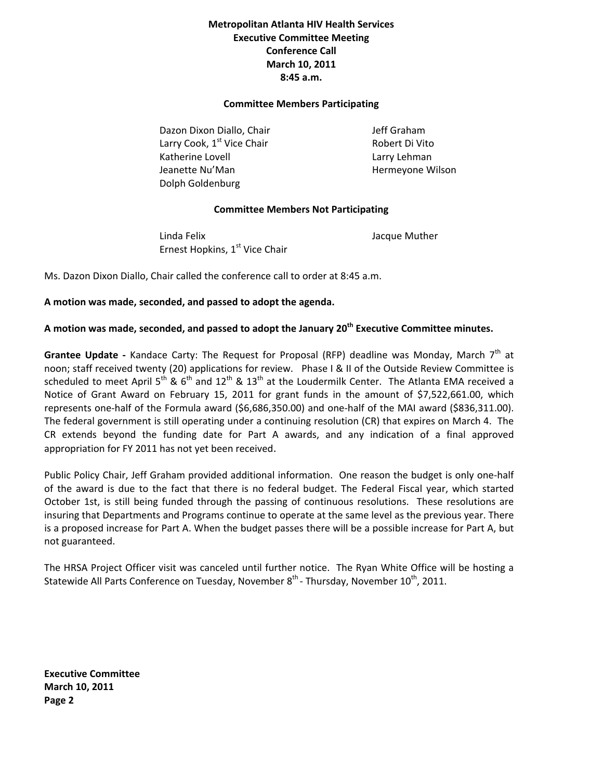# **Metropolitan Atlanta HIV Health Services Executive Committee Meeting Conference Call March 10, 2011 8:45 a.m.**

#### **Committee Members Participating**

Dazon Dixon Diallo, Chair **1999 12 Julie 10 March 2014** *Jeff Graham* Larry Cook,  $1^{st}$  Vice Chair  $\qquad \qquad$  Robert Di Vito Katherine Lovell **Example 2018** Larry Lehman Jeanette Nu'Man **Bandary and The Hermeyone Wilson**  Dolph Goldenburg

## **Committee Members Not Participating**

 Linda Felix Jacque Muther Ernest Hopkins, 1<sup>st</sup> Vice Chair

Ms. Dazon Dixon Diallo, Chair called the conference call to order at 8:45 a.m.

### **A motion was made, seconded, and passed to adopt the agenda.**

# **A motion was made, seconded, and passed to adopt the January 20th Executive Committee minutes.**

Grantee Update - Kandace Carty: The Request for Proposal (RFP) deadline was Monday, March 7<sup>th</sup> at noon; staff received twenty (20) applications for review. Phase I & II of the Outside Review Committee is scheduled to meet April 5<sup>th</sup> & 6<sup>th</sup> and 12<sup>th</sup> & 13<sup>th</sup> at the Loudermilk Center. The Atlanta EMA received a Notice of Grant Award on February 15, 2011 for grant funds in the amount of \$7,522,661.00, which represents one‐half of the Formula award (\$6,686,350.00) and one‐half of the MAI award (\$836,311.00). The federal government is still operating under a continuing resolution (CR) that expires on March 4. The CR extends beyond the funding date for Part A awards, and any indication of a final approved appropriation for FY 2011 has not yet been received.

Public Policy Chair, Jeff Graham provided additional information. One reason the budget is only one‐half of the award is due to the fact that there is no federal budget. The Federal Fiscal year, which started October 1st, is still being funded through the passing of continuous resolutions. These resolutions are insuring that Departments and Programs continue to operate at the same level as the previous year. There is a proposed increase for Part A. When the budget passes there will be a possible increase for Part A, but not guaranteed.

The HRSA Project Officer visit was canceled until further notice. The Ryan White Office will be hosting a Statewide All Parts Conference on Tuesday, November  $8^{th}$  - Thursday, November 10<sup>th</sup>, 2011.

**Executive Committee March 10, 2011 Page 2**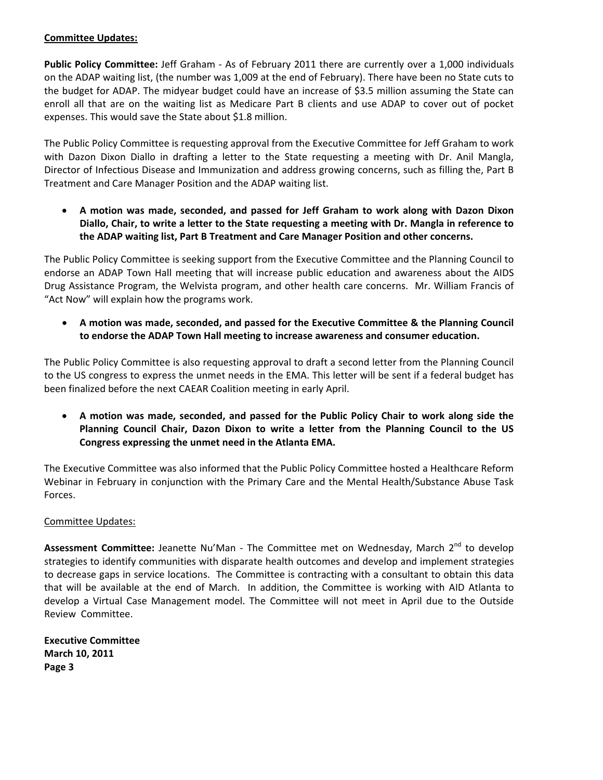## **Committee Updates:**

**Public Policy Committee:** Jeff Graham ‐ As of February 2011 there are currently over a 1,000 individuals on the ADAP waiting list, (the number was 1,009 at the end of February). There have been no State cuts to the budget for ADAP. The midyear budget could have an increase of \$3.5 million assuming the State can enroll all that are on the waiting list as Medicare Part B clients and use ADAP to cover out of pocket expenses. This would save the State about \$1.8 million.

The Public Policy Committee is requesting approval from the Executive Committee for Jeff Graham to work with Dazon Dixon Diallo in drafting a letter to the State requesting a meeting with Dr. Anil Mangla, Director of Infectious Disease and Immunization and address growing concerns, such as filling the, Part B Treatment and Care Manager Position and the ADAP waiting list.

• **A motion was made, seconded, and passed for Jeff Graham to work along with Dazon Dixon Diallo, Chair, to write a letter to the State requesting a meeting with Dr. Mangla in reference to the ADAP waiting list, Part B Treatment and Care Manager Position and other concerns.** 

The Public Policy Committee is seeking support from the Executive Committee and the Planning Council to endorse an ADAP Town Hall meeting that will increase public education and awareness about the AIDS Drug Assistance Program, the Welvista program, and other health care concerns. Mr. William Francis of "Act Now" will explain how the programs work.

• **A motion was made, seconded, and passed for the Executive Committee & the Planning Council to endorse the ADAP Town Hall meeting to increase awareness and consumer education.** 

The Public Policy Committee is also requesting approval to draft a second letter from the Planning Council to the US congress to express the unmet needs in the EMA. This letter will be sent if a federal budget has been finalized before the next CAEAR Coalition meeting in early April.

• **A motion was made, seconded, and passed for the Public Policy Chair to work along side the Planning Council Chair, Dazon Dixon to write a letter from the Planning Council to the US Congress expressing the unmet need in the Atlanta EMA.** 

The Executive Committee was also informed that the Public Policy Committee hosted a Healthcare Reform Webinar in February in conjunction with the Primary Care and the Mental Health/Substance Abuse Task Forces.

## Committee Updates:

Assessment Committee: Jeanette Nu'Man - The Committee met on Wednesday, March 2<sup>nd</sup> to develop strategies to identify communities with disparate health outcomes and develop and implement strategies to decrease gaps in service locations. The Committee is contracting with a consultant to obtain this data that will be available at the end of March. In addition, the Committee is working with AID Atlanta to develop a Virtual Case Management model. The Committee will not meet in April due to the Outside Review Committee.

**Executive Committee March 10, 2011 Page 3**